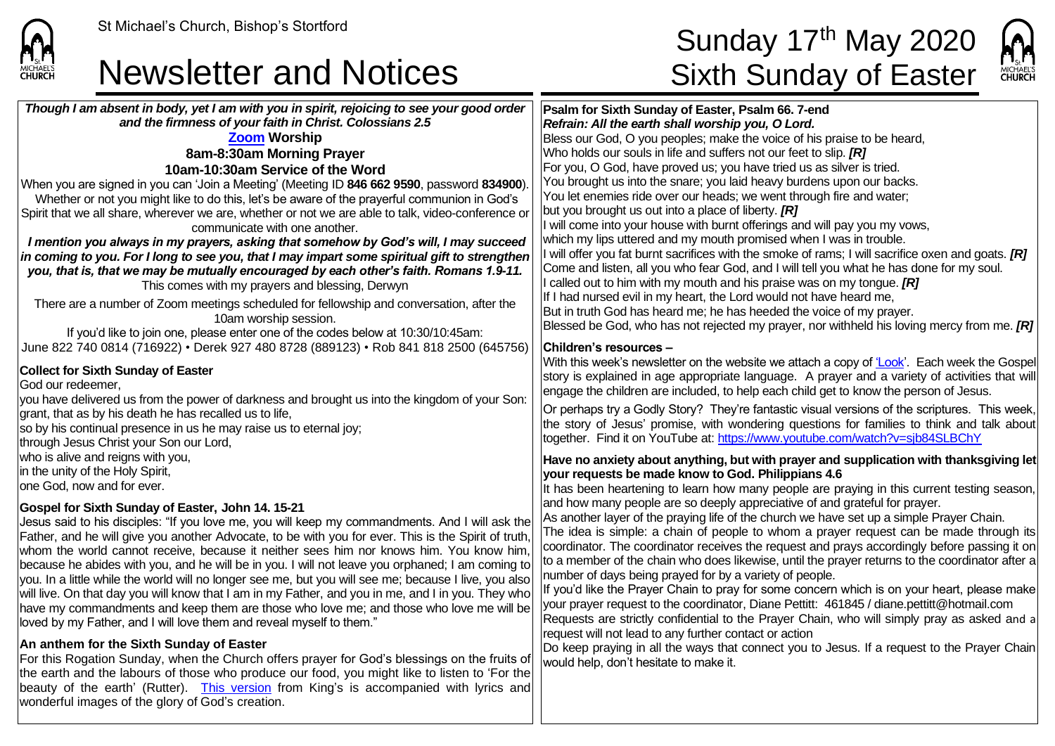

## Newsletter and Notices Sixth Sunday of Easter

# St Michael's Church, Bishop's Stortford  $\mathsf{Sunday\ 17}^\mathsf{th}\ \mathsf{May\ 2020}$



*Though I am absent in body, yet I am with you in spirit, rejoicing to see your good order and the firmness of your faith in Christ. Colossians 2.5* **[Zoom](https://zoom.us/) Worship 8am-8:30am Morning Prayer 10am-10:30am Service of the Word** When you are signed in you can 'Join a Meeting' (Meeting ID **846 662 9590**, password **834900**). Whether or not you might like to do this, let's be aware of the prayerful communion in God's Spirit that we all share, wherever we are, whether or not we are able to talk, video-conference or communicate with one another. *I mention you always in my prayers, asking that somehow by God's will, I may succeed in coming to you. For I long to see you, that I may impart some spiritual gift to strengthen you, that is, that we may be mutually encouraged by each other's faith. Romans 1.9-11.* This comes with my prayers and blessing, Derwyn There are a number of Zoom meetings scheduled for fellowship and conversation, after the 10am worship session. If you'd like to join one, please enter one of the codes below at 10:30/10:45am: June 822 740 0814 (716922) • Derek 927 480 8728 (889123) • Rob 841 818 2500 (645756) **Collect for Sixth Sunday of Easter** God our redeemer, you have delivered us from the power of darkness and brought us into the kingdom of your Son: lgrant, that as by his death he has recalled us to life. so by his continual presence in us he may raise us to eternal joy; through Jesus Christ your Son our Lord, who is alive and reigns with you, in the unity of the Holy Spirit, lone God, now and for ever. **Gospel for Sixth Sunday of Easter, John 14. 15-21** Jesus said to his disciples: "If you love me, you will keep my commandments. And I will ask the Father, and he will give you another Advocate, to be with you for ever. This is the Spirit of truth, whom the world cannot receive, because it neither sees him nor knows him. You know him because he abides with you, and he will be in you. I will not leave you orphaned; I am coming to you. In a little while the world will no longer see me, but you will see me; because I live, you also will live. On that day you will know that I am in my Father, and you in me, and I in you. They who have my commandments and keep them are those who love me; and those who love me will be loved by my Father, and I will love them and reveal myself to them." **An anthem for the Sixth Sunday of Easter** For this Rogation Sunday, when the Church offers prayer for God's blessings on the fruits of the earth and the labours of those who produce our food, you might like to listen to 'For the beauty of the earth' (Rutter).[This version](https://www.youtube.com/watch?v=xlBkpAm3fhw) from King's is accompanied with lyrics and wonderful images of the glory of God's creation. **Psalm for Sixth Sunday of Easter, Psalm 66. 7-end** *Refrain: All the earth shall worship you, O Lord.* Bless our God, O you peoples; make the voice of his praise to be heard, Who holds our souls in life and suffers not our feet to slip. *[R]* For you, O God, have proved us; you have tried us as silver is tried. You brought us into the snare; you laid heavy burdens upon our backs. You let enemies ride over our heads; we went through fire and water; but you brought us out into a place of liberty. *[R]* I will come into your house with burnt offerings and will pay you my vows, which my lips uttered and my mouth promised when I was in trouble. I will offer you fat burnt sacrifices with the smoke of rams; I will sacrifice oxen and goats. *[R]* Come and listen, all you who fear God, and I will tell you what he has done for my soul. I called out to him with my mouth and his praise was on my tongue. *[R]* If I had nursed evil in my heart, the Lord would not have heard me, But in truth God has heard me; he has heeded the voice of my prayer. Blessed be God, who has not rejected my prayer, nor withheld his loving mercy from me. *[R]* **Children's resources –** With this week's newsletter on the website we attach a copy o[f 'Look'.](https://saintmichaelweb.org.uk/Articles/542815/_Newsletter.aspx) Each week the Gospel story is explained in age appropriate language. A prayer and a variety of activities that will engage the children are included, to help each child get to know the person of Jesus. Or perhaps try a Godly Story? They're fantastic visual versions of the scriptures. This week, the story of Jesus' promise, with wondering questions for families to think and talk about together. Find it on YouTube at[: https://www.youtube.com/watch?v=sjb84SLBChY](https://www.youtube.com/watch?v=sjb84SLBChY) **Have no anxiety about anything, but with prayer and supplication with thanksgiving let your requests be made know to God. Philippians 4.6** It has been heartening to learn how many people are praying in this current testing season, and how many people are so deeply appreciative of and grateful for prayer. As another layer of the praying life of the church we have set up a simple Prayer Chain. The idea is simple: a chain of people to whom a prayer request can be made through its coordinator. The coordinator receives the request and prays accordingly before passing it on to a member of the chain who does likewise, until the prayer returns to the coordinator after a number of days being prayed for by a variety of people. If you'd like the Prayer Chain to pray for some concern which is on your heart, please make your prayer request to the coordinator, Diane Pettitt: 461845 / diane.pettitt@hotmail.com Requests are strictly confidential to the Prayer Chain, who will simply pray as asked and a request will not lead to any further contact or action Do keep praying in all the ways that connect you to Jesus. If a request to the Prayer Chain would help, don't hesitate to make it.